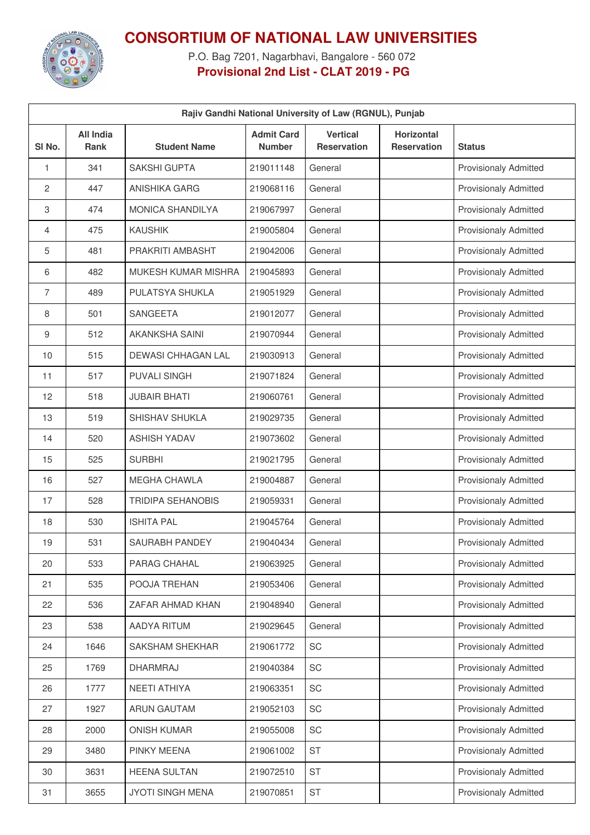

## **CONSORTIUM OF NATIONAL LAW UNIVERSITIES**

P.O. Bag 7201, Nagarbhavi, Bangalore - 560 072 **Provisional 2nd List - CLAT 2019 - PG**

| Rajiv Gandhi National University of Law (RGNUL), Punjab |                                 |                            |                                    |                                       |                                  |                              |  |
|---------------------------------------------------------|---------------------------------|----------------------------|------------------------------------|---------------------------------------|----------------------------------|------------------------------|--|
| SI No.                                                  | <b>All India</b><br><b>Rank</b> | <b>Student Name</b>        | <b>Admit Card</b><br><b>Number</b> | <b>Vertical</b><br><b>Reservation</b> | Horizontal<br><b>Reservation</b> | <b>Status</b>                |  |
| 1                                                       | 341                             | <b>SAKSHI GUPTA</b>        | 219011148                          | General                               |                                  | <b>Provisionaly Admitted</b> |  |
| 2                                                       | 447                             | <b>ANISHIKA GARG</b>       | 219068116                          | General                               |                                  | <b>Provisionaly Admitted</b> |  |
| 3                                                       | 474                             | <b>MONICA SHANDILYA</b>    | 219067997                          | General                               |                                  | <b>Provisionaly Admitted</b> |  |
| 4                                                       | 475                             | <b>KAUSHIK</b>             | 219005804                          | General                               |                                  | <b>Provisionaly Admitted</b> |  |
| 5                                                       | 481                             | PRAKRITI AMBASHT           | 219042006                          | General                               |                                  | <b>Provisionaly Admitted</b> |  |
| 6                                                       | 482                             | <b>MUKESH KUMAR MISHRA</b> | 219045893                          | General                               |                                  | <b>Provisionaly Admitted</b> |  |
| 7                                                       | 489                             | PULATSYA SHUKLA            | 219051929                          | General                               |                                  | <b>Provisionaly Admitted</b> |  |
| 8                                                       | 501                             | <b>SANGEETA</b>            | 219012077                          | General                               |                                  | <b>Provisionaly Admitted</b> |  |
| 9                                                       | 512                             | <b>AKANKSHA SAINI</b>      | 219070944                          | General                               |                                  | <b>Provisionaly Admitted</b> |  |
| 10                                                      | 515                             | <b>DEWASI CHHAGAN LAL</b>  | 219030913                          | General                               |                                  | <b>Provisionaly Admitted</b> |  |
| 11                                                      | 517                             | <b>PUVALI SINGH</b>        | 219071824                          | General                               |                                  | <b>Provisionaly Admitted</b> |  |
| 12                                                      | 518                             | <b>JUBAIR BHATI</b>        | 219060761                          | General                               |                                  | <b>Provisionaly Admitted</b> |  |
| 13                                                      | 519                             | SHISHAV SHUKLA             | 219029735                          | General                               |                                  | <b>Provisionaly Admitted</b> |  |
| 14                                                      | 520                             | <b>ASHISH YADAV</b>        | 219073602                          | General                               |                                  | <b>Provisionaly Admitted</b> |  |
| 15                                                      | 525                             | <b>SURBHI</b>              | 219021795                          | General                               |                                  | <b>Provisionaly Admitted</b> |  |
| 16                                                      | 527                             | <b>MEGHA CHAWLA</b>        | 219004887                          | General                               |                                  | Provisionaly Admitted        |  |
| 17                                                      | 528                             | <b>TRIDIPA SEHANOBIS</b>   | 219059331                          | General                               |                                  | <b>Provisionaly Admitted</b> |  |
| 18                                                      | 530                             | <b>ISHITA PAL</b>          | 219045764                          | General                               |                                  | <b>Provisionaly Admitted</b> |  |
| 19                                                      | 531                             | SAURABH PANDEY             | 219040434                          | General                               |                                  | <b>Provisionaly Admitted</b> |  |
| 20                                                      | 533                             | PARAG CHAHAL               | 219063925                          | General                               |                                  | <b>Provisionaly Admitted</b> |  |
| 21                                                      | 535                             | POOJA TREHAN               | 219053406                          | General                               |                                  | <b>Provisionaly Admitted</b> |  |
| 22                                                      | 536                             | ZAFAR AHMAD KHAN           | 219048940                          | General                               |                                  | <b>Provisionaly Admitted</b> |  |
| 23                                                      | 538                             | <b>AADYA RITUM</b>         | 219029645                          | General                               |                                  | <b>Provisionaly Admitted</b> |  |
| 24                                                      | 1646                            | <b>SAKSHAM SHEKHAR</b>     | 219061772                          | SC                                    |                                  | <b>Provisionaly Admitted</b> |  |
| 25                                                      | 1769                            | DHARMRAJ                   | 219040384                          | SC                                    |                                  | <b>Provisionaly Admitted</b> |  |
| 26                                                      | 1777                            | NEETI ATHIYA               | 219063351                          | SC                                    |                                  | <b>Provisionaly Admitted</b> |  |
| 27                                                      | 1927                            | <b>ARUN GAUTAM</b>         | 219052103                          | SC                                    |                                  | <b>Provisionaly Admitted</b> |  |
| 28                                                      | 2000                            | <b>ONISH KUMAR</b>         | 219055008                          | SC                                    |                                  | <b>Provisionaly Admitted</b> |  |
| 29                                                      | 3480                            | PINKY MEENA                | 219061002                          | <b>ST</b>                             |                                  | <b>Provisionaly Admitted</b> |  |
| 30                                                      | 3631                            | <b>HEENA SULTAN</b>        | 219072510                          | <b>ST</b>                             |                                  | <b>Provisionaly Admitted</b> |  |
| 31                                                      | 3655                            | <b>JYOTI SINGH MENA</b>    | 219070851                          | <b>ST</b>                             |                                  | <b>Provisionaly Admitted</b> |  |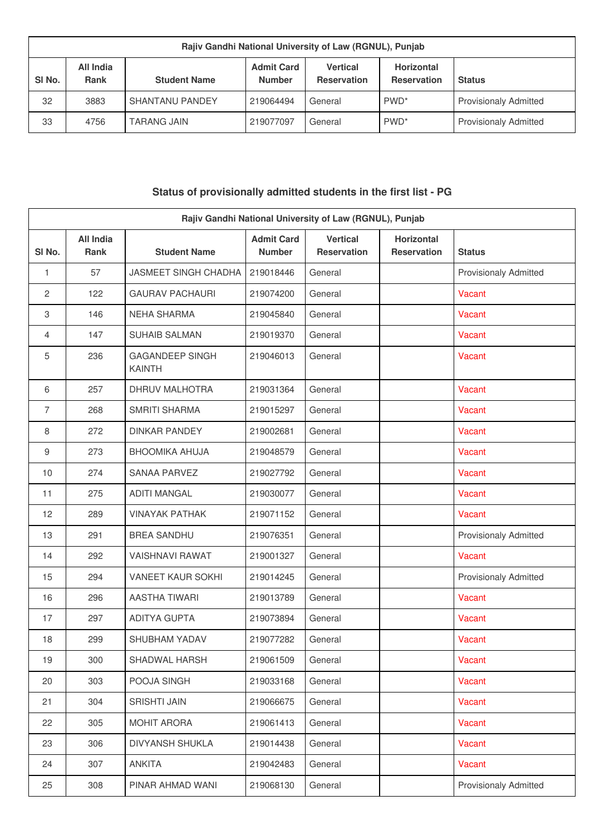| Rajiv Gandhi National University of Law (RGNUL), Punjab |                          |                        |                                    |                                       |                                         |                              |
|---------------------------------------------------------|--------------------------|------------------------|------------------------------------|---------------------------------------|-----------------------------------------|------------------------------|
| SI <sub>No.</sub>                                       | All India<br><b>Rank</b> | <b>Student Name</b>    | <b>Admit Card</b><br><b>Number</b> | <b>Vertical</b><br><b>Reservation</b> | <b>Horizontal</b><br><b>Reservation</b> | <b>Status</b>                |
| 32                                                      | 3883                     | <b>SHANTANU PANDEY</b> | 219064494                          | General                               | PWD <sup>*</sup>                        | <b>Provisionaly Admitted</b> |
| 33                                                      | 4756                     | <b>TARANG JAIN</b>     | 219077097                          | General                               | PWD <sup>*</sup>                        | <b>Provisionaly Admitted</b> |

## **Status of provisionally admitted students in the first list - PG**

| Rajiv Gandhi National University of Law (RGNUL), Punjab |                                 |                                         |                                    |                                       |                                         |                              |
|---------------------------------------------------------|---------------------------------|-----------------------------------------|------------------------------------|---------------------------------------|-----------------------------------------|------------------------------|
| SI No.                                                  | <b>All India</b><br><b>Rank</b> | <b>Student Name</b>                     | <b>Admit Card</b><br><b>Number</b> | <b>Vertical</b><br><b>Reservation</b> | <b>Horizontal</b><br><b>Reservation</b> | <b>Status</b>                |
| 1                                                       | 57                              | JASMEET SINGH CHADHA                    | 219018446                          | General                               |                                         | <b>Provisionaly Admitted</b> |
| 2                                                       | 122                             | <b>GAURAV PACHAURI</b>                  | 219074200                          | General                               |                                         | Vacant                       |
| 3                                                       | 146                             | <b>NEHA SHARMA</b>                      | 219045840                          | General                               |                                         | Vacant                       |
| $\overline{4}$                                          | 147                             | <b>SUHAIB SALMAN</b>                    | 219019370                          | General                               |                                         | Vacant                       |
| 5                                                       | 236                             | <b>GAGANDEEP SINGH</b><br><b>KAINTH</b> | 219046013                          | General                               |                                         | Vacant                       |
| 6                                                       | 257                             | <b>DHRUV MALHOTRA</b>                   | 219031364                          | General                               |                                         | Vacant                       |
| $\overline{7}$                                          | 268                             | <b>SMRITI SHARMA</b>                    | 219015297                          | General                               |                                         | Vacant                       |
| 8                                                       | 272                             | <b>DINKAR PANDEY</b>                    | 219002681                          | General                               |                                         | Vacant                       |
| 9                                                       | 273                             | <b>BHOOMIKA AHUJA</b>                   | 219048579                          | General                               |                                         | Vacant                       |
| 10                                                      | 274                             | <b>SANAA PARVEZ</b>                     | 219027792                          | General                               |                                         | Vacant                       |
| 11                                                      | 275                             | <b>ADITI MANGAL</b>                     | 219030077                          | General                               |                                         | Vacant                       |
| 12                                                      | 289                             | <b>VINAYAK PATHAK</b>                   | 219071152                          | General                               |                                         | Vacant                       |
| 13                                                      | 291                             | <b>BREA SANDHU</b>                      | 219076351                          | General                               |                                         | <b>Provisionaly Admitted</b> |
| 14                                                      | 292                             | <b>VAISHNAVI RAWAT</b>                  | 219001327                          | General                               |                                         | Vacant                       |
| 15                                                      | 294                             | <b>VANEET KAUR SOKHI</b>                | 219014245                          | General                               |                                         | <b>Provisionaly Admitted</b> |
| 16                                                      | 296                             | <b>AASTHA TIWARI</b>                    | 219013789                          | General                               |                                         | Vacant                       |
| 17                                                      | 297                             | <b>ADITYA GUPTA</b>                     | 219073894                          | General                               |                                         | Vacant                       |
| 18                                                      | 299                             | SHUBHAM YADAV                           | 219077282                          | General                               |                                         | Vacant                       |
| 19                                                      | 300                             | SHADWAL HARSH                           | 219061509                          | General                               |                                         | Vacant                       |
| 20                                                      | 303                             | POOJA SINGH                             | 219033168                          | General                               |                                         | Vacant                       |
| 21                                                      | 304                             | <b>SRISHTI JAIN</b>                     | 219066675                          | General                               |                                         | Vacant                       |
| 22                                                      | 305                             | MOHIT ARORA                             | 219061413                          | General                               |                                         | Vacant                       |
| 23                                                      | 306                             | DIVYANSH SHUKLA                         | 219014438                          | General                               |                                         | Vacant                       |
| 24                                                      | 307                             | <b>ANKITA</b>                           | 219042483                          | General                               |                                         | Vacant                       |
| 25                                                      | 308                             | PINAR AHMAD WANI                        | 219068130                          | General                               |                                         | <b>Provisionaly Admitted</b> |
|                                                         |                                 |                                         |                                    |                                       |                                         |                              |